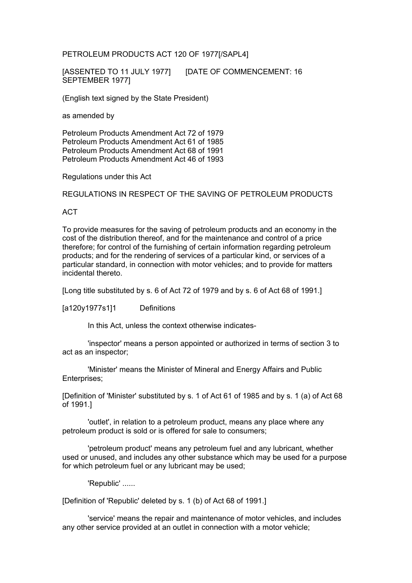## PETROLEUM PRODUCTS ACT 120 OF 1977[/SAPL4]

[ASSENTED TO 11 JULY 1977] [DATE OF COMMENCEMENT: 16 SEPTEMBER 1977]

(English text signed by the State President)

as amended by

Petroleum Products Amendment Act 72 of 1979 Petroleum Products Amendment Act 61 of 1985 Petroleum Products Amendment Act 68 of 1991 Petroleum Products Amendment Act 46 of 1993

Regulations under this Act

## REGULATIONS IN RESPECT OF THE SAVING OF PETROLEUM PRODUCTS

## ACT

To provide measures for the saving of petroleum products and an economy in the cost of the distribution thereof, and for the maintenance and control of a price therefore; for control of the furnishing of certain information regarding petroleum products; and for the rendering of services of a particular kind, or services of a particular standard, in connection with motor vehicles; and to provide for matters incidental thereto.

[Long title substituted by s. 6 of Act 72 of 1979 and by s. 6 of Act 68 of 1991.]

[a120y1977s1]1 Definitions

In this Act, unless the context otherwise indicates-

 'inspector' means a person appointed or authorized in terms of section 3 to act as an inspector;

 'Minister' means the Minister of Mineral and Energy Affairs and Public Enterprises;

[Definition of 'Minister' substituted by s. 1 of Act 61 of 1985 and by s. 1 (a) of Act 68 of 1991.]

 'outlet', in relation to a petroleum product, means any place where any petroleum product is sold or is offered for sale to consumers;

 'petroleum product' means any petroleum fuel and any lubricant, whether used or unused, and includes any other substance which may be used for a purpose for which petroleum fuel or any lubricant may be used;

'Republic' ......

[Definition of 'Republic' deleted by s. 1 (b) of Act 68 of 1991.]

 'service' means the repair and maintenance of motor vehicles, and includes any other service provided at an outlet in connection with a motor vehicle;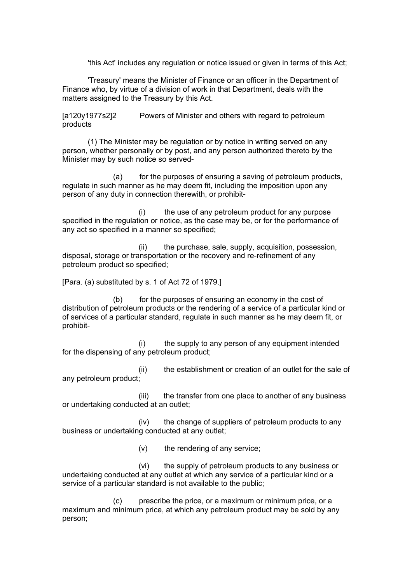'this Act' includes any regulation or notice issued or given in terms of this Act;

 'Treasury' means the Minister of Finance or an officer in the Department of Finance who, by virtue of a division of work in that Department, deals with the matters assigned to the Treasury by this Act.

[a120y1977s2]2 Powers of Minister and others with regard to petroleum products

 (1) The Minister may be regulation or by notice in writing served on any person, whether personally or by post, and any person authorized thereto by the Minister may by such notice so served-

 (a) for the purposes of ensuring a saving of petroleum products, regulate in such manner as he may deem fit, including the imposition upon any person of any duty in connection therewith, or prohibit-

 (i) the use of any petroleum product for any purpose specified in the regulation or notice, as the case may be, or for the performance of any act so specified in a manner so specified;

 (ii) the purchase, sale, supply, acquisition, possession, disposal, storage or transportation or the recovery and re-refinement of any petroleum product so specified;

[Para. (a) substituted by s. 1 of Act 72 of 1979.]

 (b) for the purposes of ensuring an economy in the cost of distribution of petroleum products or the rendering of a service of a particular kind or of services of a particular standard, regulate in such manner as he may deem fit, or prohibit-

 (i) the supply to any person of any equipment intended for the dispensing of any petroleum product;

 (ii) the establishment or creation of an outlet for the sale of any petroleum product;

 (iii) the transfer from one place to another of any business or undertaking conducted at an outlet;

 (iv) the change of suppliers of petroleum products to any business or undertaking conducted at any outlet;

(v) the rendering of any service;

 (vi) the supply of petroleum products to any business or undertaking conducted at any outlet at which any service of a particular kind or a service of a particular standard is not available to the public;

 (c) prescribe the price, or a maximum or minimum price, or a maximum and minimum price, at which any petroleum product may be sold by any person;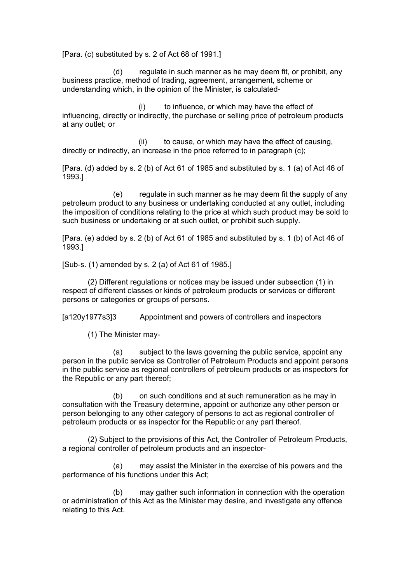[Para. (c) substituted by s. 2 of Act 68 of 1991.]

 (d) regulate in such manner as he may deem fit, or prohibit, any business practice, method of trading, agreement, arrangement, scheme or understanding which, in the opinion of the Minister, is calculated-

 (i) to influence, or which may have the effect of influencing, directly or indirectly, the purchase or selling price of petroleum products at any outlet; or

 (ii) to cause, or which may have the effect of causing, directly or indirectly, an increase in the price referred to in paragraph (c);

[Para. (d) added by s. 2 (b) of Act 61 of 1985 and substituted by s. 1 (a) of Act 46 of 1993.]

 (e) regulate in such manner as he may deem fit the supply of any petroleum product to any business or undertaking conducted at any outlet, including the imposition of conditions relating to the price at which such product may be sold to such business or undertaking or at such outlet, or prohibit such supply.

[Para. (e) added by s. 2 (b) of Act 61 of 1985 and substituted by s. 1 (b) of Act 46 of 1993.]

[Sub-s. (1) amended by s. 2 (a) of Act 61 of 1985.]

 (2) Different regulations or notices may be issued under subsection (1) in respect of different classes or kinds of petroleum products or services or different persons or categories or groups of persons.

[a120y1977s3]3 Appointment and powers of controllers and inspectors

(1) The Minister may-

 (a) subject to the laws governing the public service, appoint any person in the public service as Controller of Petroleum Products and appoint persons in the public service as regional controllers of petroleum products or as inspectors for the Republic or any part thereof;

 (b) on such conditions and at such remuneration as he may in consultation with the Treasury determine, appoint or authorize any other person or person belonging to any other category of persons to act as regional controller of petroleum products or as inspector for the Republic or any part thereof.

 (2) Subject to the provisions of this Act, the Controller of Petroleum Products, a regional controller of petroleum products and an inspector-

 (a) may assist the Minister in the exercise of his powers and the performance of his functions under this Act;

 (b) may gather such information in connection with the operation or administration of this Act as the Minister may desire, and investigate any offence relating to this Act.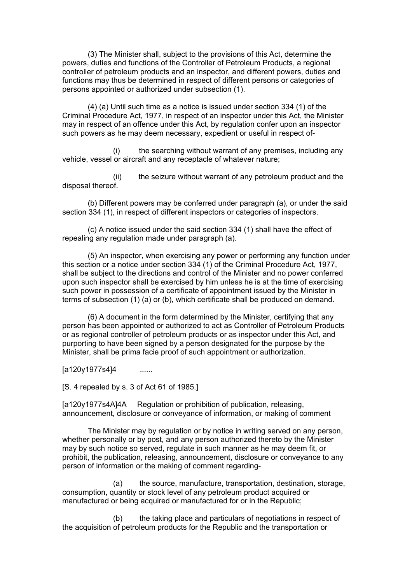(3) The Minister shall, subject to the provisions of this Act, determine the powers, duties and functions of the Controller of Petroleum Products, a regional controller of petroleum products and an inspector, and different powers, duties and functions may thus be determined in respect of different persons or categories of persons appointed or authorized under subsection (1).

 (4) (a) Until such time as a notice is issued under section 334 (1) of the Criminal Procedure Act, 1977, in respect of an inspector under this Act, the Minister may in respect of an offence under this Act, by regulation confer upon an inspector such powers as he may deem necessary, expedient or useful in respect of-

 (i) the searching without warrant of any premises, including any vehicle, vessel or aircraft and any receptacle of whatever nature;

 (ii) the seizure without warrant of any petroleum product and the disposal thereof.

 (b) Different powers may be conferred under paragraph (a), or under the said section 334 (1), in respect of different inspectors or categories of inspectors.

 (c) A notice issued under the said section 334 (1) shall have the effect of repealing any regulation made under paragraph (a).

 (5) An inspector, when exercising any power or performing any function under this section or a notice under section 334 (1) of the Criminal Procedure Act, 1977, shall be subject to the directions and control of the Minister and no power conferred upon such inspector shall be exercised by him unless he is at the time of exercising such power in possession of a certificate of appointment issued by the Minister in terms of subsection (1) (a) or (b), which certificate shall be produced on demand.

 (6) A document in the form determined by the Minister, certifying that any person has been appointed or authorized to act as Controller of Petroleum Products or as regional controller of petroleum products or as inspector under this Act, and purporting to have been signed by a person designated for the purpose by the Minister, shall be prima facie proof of such appointment or authorization.

[a120y1977s4]4 ......

[S. 4 repealed by s. 3 of Act 61 of 1985.]

[a120y1977s4A]4A Regulation or prohibition of publication, releasing, announcement, disclosure or conveyance of information, or making of comment

 The Minister may by regulation or by notice in writing served on any person, whether personally or by post, and any person authorized thereto by the Minister may by such notice so served, regulate in such manner as he may deem fit, or prohibit, the publication, releasing, announcement, disclosure or conveyance to any person of information or the making of comment regarding-

 (a) the source, manufacture, transportation, destination, storage, consumption, quantity or stock level of any petroleum product acquired or manufactured or being acquired or manufactured for or in the Republic;

 (b) the taking place and particulars of negotiations in respect of the acquisition of petroleum products for the Republic and the transportation or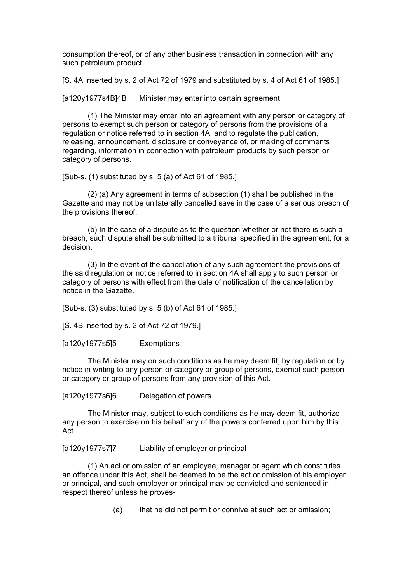consumption thereof, or of any other business transaction in connection with any such petroleum product.

[S. 4A inserted by s. 2 of Act 72 of 1979 and substituted by s. 4 of Act 61 of 1985.]

[a120y1977s4B]4B Minister may enter into certain agreement

 (1) The Minister may enter into an agreement with any person or category of persons to exempt such person or category of persons from the provisions of a regulation or notice referred to in section 4A, and to regulate the publication, releasing, announcement, disclosure or conveyance of, or making of comments regarding, information in connection with petroleum products by such person or category of persons.

[Sub-s. (1) substituted by s. 5 (a) of Act 61 of 1985.]

 (2) (a) Any agreement in terms of subsection (1) shall be published in the Gazette and may not be unilaterally cancelled save in the case of a serious breach of the provisions thereof.

 (b) In the case of a dispute as to the question whether or not there is such a breach, such dispute shall be submitted to a tribunal specified in the agreement, for a decision.

 (3) In the event of the cancellation of any such agreement the provisions of the said regulation or notice referred to in section 4A shall apply to such person or category of persons with effect from the date of notification of the cancellation by notice in the Gazette.

[Sub-s. (3) substituted by s. 5 (b) of Act 61 of 1985.]

[S. 4B inserted by s. 2 of Act 72 of 1979.]

[a120y1977s5]5 Exemptions

 The Minister may on such conditions as he may deem fit, by regulation or by notice in writing to any person or category or group of persons, exempt such person or category or group of persons from any provision of this Act.

[a120y1977s6]6 Delegation of powers

 The Minister may, subject to such conditions as he may deem fit, authorize any person to exercise on his behalf any of the powers conferred upon him by this Act.

[a120y1977s7]7 Liability of employer or principal

 (1) An act or omission of an employee, manager or agent which constitutes an offence under this Act, shall be deemed to be the act or omission of his employer or principal, and such employer or principal may be convicted and sentenced in respect thereof unless he proves-

(a) that he did not permit or connive at such act or omission;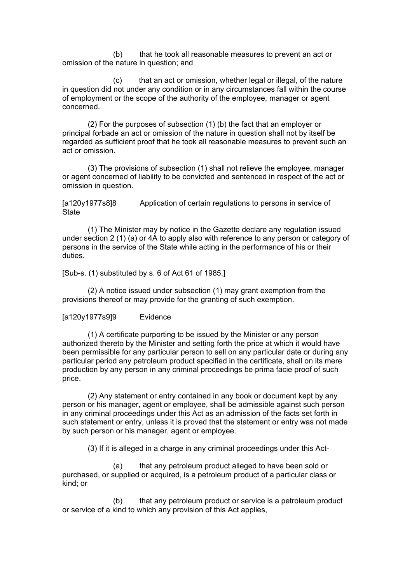(b) that he took all reasonable measures to prevent an act or omission of the nature in question; and

 (c) that an act or omission, whether legal or illegal, of the nature in question did not under any condition or in any circumstances fall within the course of employment or the scope of the authority of the employee, manager or agent concerned.

 (2) For the purposes of subsection (1) (b) the fact that an employer or principal forbade an act or omission of the nature in question shall not by itself be regarded as sufficient proof that he took all reasonable measures to prevent such an act or omission.

 (3) The provisions of subsection (1) shall not relieve the employee, manager or agent concerned of liability to be convicted and sentenced in respect of the act or omission in question.

[a120y1977s8]8 Application of certain regulations to persons in service of **State** 

 (1) The Minister may by notice in the Gazette declare any regulation issued under section 2 (1) (a) or 4A to apply also with reference to any person or category of persons in the service of the State while acting in the performance of his or their duties.

[Sub-s. (1) substituted by s. 6 of Act 61 of 1985.]

 (2) A notice issued under subsection (1) may grant exemption from the provisions thereof or may provide for the granting of such exemption.

## [a120y1977s9]9 Evidence

 (1) A certificate purporting to be issued by the Minister or any person authorized thereto by the Minister and setting forth the price at which it would have been permissible for any particular person to sell on any particular date or during any particular period any petroleum product specified in the certificate, shall on its mere production by any person in any criminal proceedings be prima facie proof of such price.

 (2) Any statement or entry contained in any book or document kept by any person or his manager, agent or employee, shall be admissible against such person in any criminal proceedings under this Act as an admission of the facts set forth in such statement or entry, unless it is proved that the statement or entry was not made by such person or his manager, agent or employee.

(3) If it is alleged in a charge in any criminal proceedings under this Act-

 (a) that any petroleum product alleged to have been sold or purchased, or supplied or acquired, is a petroleum product of a particular class or kind; or

 (b) that any petroleum product or service is a petroleum product or service of a kind to which any provision of this Act applies,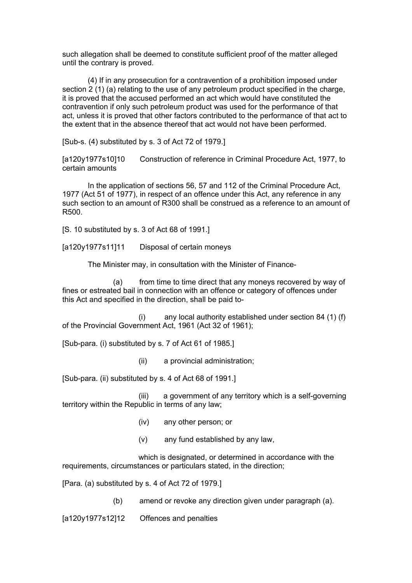such allegation shall be deemed to constitute sufficient proof of the matter alleged until the contrary is proved.

 (4) If in any prosecution for a contravention of a prohibition imposed under section 2 (1) (a) relating to the use of any petroleum product specified in the charge, it is proved that the accused performed an act which would have constituted the contravention if only such petroleum product was used for the performance of that act, unless it is proved that other factors contributed to the performance of that act to the extent that in the absence thereof that act would not have been performed.

[Sub-s. (4) substituted by s. 3 of Act 72 of 1979.]

[a120y1977s10]10 Construction of reference in Criminal Procedure Act, 1977, to certain amounts

 In the application of sections 56, 57 and 112 of the Criminal Procedure Act, 1977 (Act 51 of 1977), in respect of an offence under this Act, any reference in any such section to an amount of R300 shall be construed as a reference to an amount of R500.

[S. 10 substituted by s. 3 of Act 68 of 1991.]

[a120y1977s11]11 Disposal of certain moneys

The Minister may, in consultation with the Minister of Finance-

 (a) from time to time direct that any moneys recovered by way of fines or estreated bail in connection with an offence or category of offences under this Act and specified in the direction, shall be paid to-

 (i) any local authority established under section 84 (1) (f) of the Provincial Government Act, 1961 (Act 32 of 1961);

[Sub-para. (i) substituted by s. 7 of Act 61 of 1985.]

(ii) a provincial administration;

[Sub-para. (ii) substituted by s. 4 of Act 68 of 1991.]

 (iii) a government of any territory which is a self-governing territory within the Republic in terms of any law;

- (iv) any other person; or
- (v) any fund established by any law,

 which is designated, or determined in accordance with the requirements, circumstances or particulars stated, in the direction;

[Para. (a) substituted by s. 4 of Act 72 of 1979.]

(b) amend or revoke any direction given under paragraph (a).

[a120y1977s12]12 Offences and penalties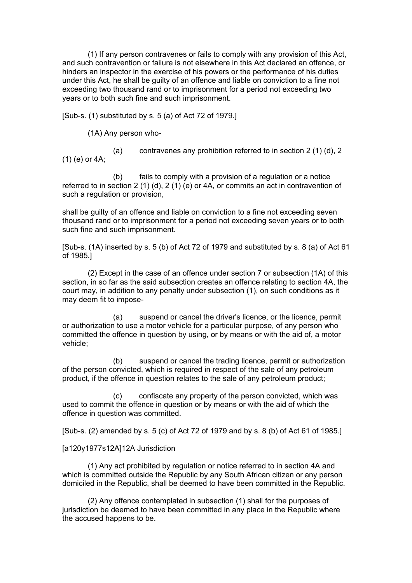(1) If any person contravenes or fails to comply with any provision of this Act, and such contravention or failure is not elsewhere in this Act declared an offence, or hinders an inspector in the exercise of his powers or the performance of his duties under this Act, he shall be guilty of an offence and liable on conviction to a fine not exceeding two thousand rand or to imprisonment for a period not exceeding two years or to both such fine and such imprisonment.

[Sub-s. (1) substituted by s. 5 (a) of Act 72 of 1979.]

(1A) Any person who-

 (a) contravenes any prohibition referred to in section 2 (1) (d), 2 (1) (e) or 4A;

 (b) fails to comply with a provision of a regulation or a notice referred to in section 2 (1) (d), 2 (1) (e) or 4A, or commits an act in contravention of such a regulation or provision,

shall be guilty of an offence and liable on conviction to a fine not exceeding seven thousand rand or to imprisonment for a period not exceeding seven years or to both such fine and such imprisonment.

[Sub-s. (1A) inserted by s. 5 (b) of Act 72 of 1979 and substituted by s. 8 (a) of Act 61 of 1985.]

 (2) Except in the case of an offence under section 7 or subsection (1A) of this section, in so far as the said subsection creates an offence relating to section 4A, the court may, in addition to any penalty under subsection (1), on such conditions as it may deem fit to impose-

 (a) suspend or cancel the driver's licence, or the licence, permit or authorization to use a motor vehicle for a particular purpose, of any person who committed the offence in question by using, or by means or with the aid of, a motor vehicle;

 (b) suspend or cancel the trading licence, permit or authorization of the person convicted, which is required in respect of the sale of any petroleum product, if the offence in question relates to the sale of any petroleum product;

 (c) confiscate any property of the person convicted, which was used to commit the offence in question or by means or with the aid of which the offence in question was committed.

[Sub-s. (2) amended by s. 5 (c) of Act 72 of 1979 and by s. 8 (b) of Act 61 of 1985.]

[a120y1977s12A]12A Jurisdiction

 (1) Any act prohibited by regulation or notice referred to in section 4A and which is committed outside the Republic by any South African citizen or any person domiciled in the Republic, shall be deemed to have been committed in the Republic.

 (2) Any offence contemplated in subsection (1) shall for the purposes of jurisdiction be deemed to have been committed in any place in the Republic where the accused happens to be.